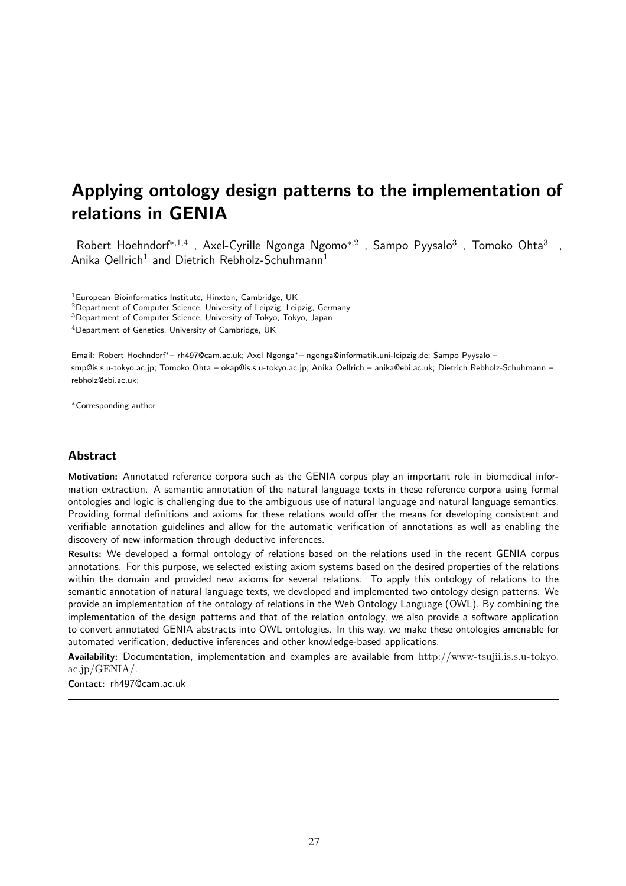# Applying ontology design patterns to the implementation of relations in GENIA

Robert Hoehndorf $^{\ast,1,4}$  , Axel-Cyrille Ngonga Ngomo $^{\ast,2}$  , Sampo Pyysalo $^3$  , Tomoko Ohta $^3$  , Anika Oellrich $^1$  and Dietrich Rebholz-Schuhmann $^1$ 

 $1$ European Bioinformatics Institute, Hinxton, Cambridge, UK

<sup>2</sup>Department of Computer Science, University of Leipzig, Leipzig, Germany

<sup>3</sup>Department of Computer Science, University of Tokyo, Tokyo, Japan

<sup>4</sup>Department of Genetics, University of Cambridge, UK

Email: Robert Hoehndorf∗– rh497@cam.ac.uk; Axel Ngonga∗– ngonga@informatik.uni-leipzig.de; Sampo Pyysalo – smp@is.s.u-tokyo.ac.jp; Tomoko Ohta – okap@is.s.u-tokyo.ac.jp; Anika Oellrich – anika@ebi.ac.uk; Dietrich Rebholz-Schuhmann – rebholz@ebi.ac.uk;

<sup>∗</sup>Corresponding author

# **Abstract**

Motivation: Annotated reference corpora such as the GENIA corpus play an important role in biomedical information extraction. A semantic annotation of the natural language texts in these reference corpora using formal ontologies and logic is challenging due to the ambiguous use of natural language and natural language semantics. Providing formal definitions and axioms for these relations would offer the means for developing consistent and verifiable annotation guidelines and allow for the automatic verification of annotations as well as enabling the discovery of new information through deductive inferences.

Results: We developed a formal ontology of relations based on the relations used in the recent GENIA corpus annotations. For this purpose, we selected existing axiom systems based on the desired properties of the relations within the domain and provided new axioms for several relations. To apply this ontology of relations to the semantic annotation of natural language texts, we developed and implemented two ontology design patterns. We provide an implementation of the ontology of relations in the Web Ontology Language (OWL). By combining the implementation of the design patterns and that of the relation ontology, we also provide a software application to convert annotated GENIA abstracts into OWL ontologies. In this way, we make these ontologies amenable for automated verification, deductive inferences and other knowledge-based applications.

Availability: Documentation, implementation and examples are available from http://www-tsujii.is.s.u-tokyo. ac.jp/GENIA/.

Contact: rh497@cam.ac.uk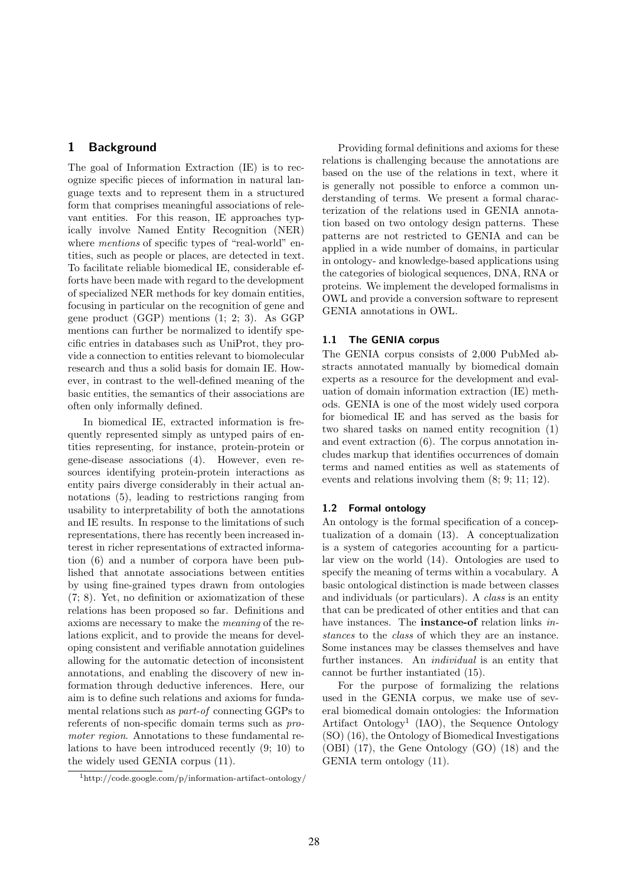# 1 Background

The goal of Information Extraction (IE) is to recognize specific pieces of information in natural language texts and to represent them in a structured form that comprises meaningful associations of relevant entities. For this reason, IE approaches typically involve Named Entity Recognition (NER) where mentions of specific types of "real-world" entities, such as people or places, are detected in text. To facilitate reliable biomedical IE, considerable efforts have been made with regard to the development of specialized NER methods for key domain entities, focusing in particular on the recognition of gene and gene product (GGP) mentions (1; 2; 3). As GGP mentions can further be normalized to identify specific entries in databases such as UniProt, they provide a connection to entities relevant to biomolecular research and thus a solid basis for domain IE. However, in contrast to the well-defined meaning of the basic entities, the semantics of their associations are often only informally defined.

In biomedical IE, extracted information is frequently represented simply as untyped pairs of entities representing, for instance, protein-protein or gene-disease associations (4). However, even resources identifying protein-protein interactions as entity pairs diverge considerably in their actual annotations (5), leading to restrictions ranging from usability to interpretability of both the annotations and IE results. In response to the limitations of such representations, there has recently been increased interest in richer representations of extracted information (6) and a number of corpora have been published that annotate associations between entities by using fine-grained types drawn from ontologies (7; 8). Yet, no definition or axiomatization of these relations has been proposed so far. Definitions and axioms are necessary to make the meaning of the relations explicit, and to provide the means for developing consistent and verifiable annotation guidelines allowing for the automatic detection of inconsistent annotations, and enabling the discovery of new information through deductive inferences. Here, our aim is to define such relations and axioms for fundamental relations such as part-of connecting GGPs to referents of non-specific domain terms such as promoter region. Annotations to these fundamental relations to have been introduced recently (9; 10) to the widely used GENIA corpus (11).

Providing formal definitions and axioms for these relations is challenging because the annotations are based on the use of the relations in text, where it is generally not possible to enforce a common understanding of terms. We present a formal characterization of the relations used in GENIA annotation based on two ontology design patterns. These patterns are not restricted to GENIA and can be applied in a wide number of domains, in particular in ontology- and knowledge-based applications using the categories of biological sequences, DNA, RNA or proteins. We implement the developed formalisms in OWL and provide a conversion software to represent GENIA annotations in OWL.

# 1.1 The GENIA corpus

The GENIA corpus consists of 2,000 PubMed abstracts annotated manually by biomedical domain experts as a resource for the development and evaluation of domain information extraction (IE) methods. GENIA is one of the most widely used corpora for biomedical IE and has served as the basis for two shared tasks on named entity recognition (1) and event extraction (6). The corpus annotation includes markup that identifies occurrences of domain terms and named entities as well as statements of events and relations involving them (8; 9; 11; 12).

## 1.2 Formal ontology

An ontology is the formal specification of a conceptualization of a domain (13). A conceptualization is a system of categories accounting for a particular view on the world (14). Ontologies are used to specify the meaning of terms within a vocabulary. A basic ontological distinction is made between classes and individuals (or particulars). A class is an entity that can be predicated of other entities and that can have instances. The **instance-of** relation links instances to the class of which they are an instance. Some instances may be classes themselves and have further instances. An individual is an entity that cannot be further instantiated (15).

For the purpose of formalizing the relations used in the GENIA corpus, we make use of several biomedical domain ontologies: the Information Artifact Ontology<sup>1</sup> (IAO), the Sequence Ontology (SO) (16), the Ontology of Biomedical Investigations (OBI) (17), the Gene Ontology (GO) (18) and the GENIA term ontology (11).

<sup>1</sup>http://code.google.com/p/information-artifact-ontology/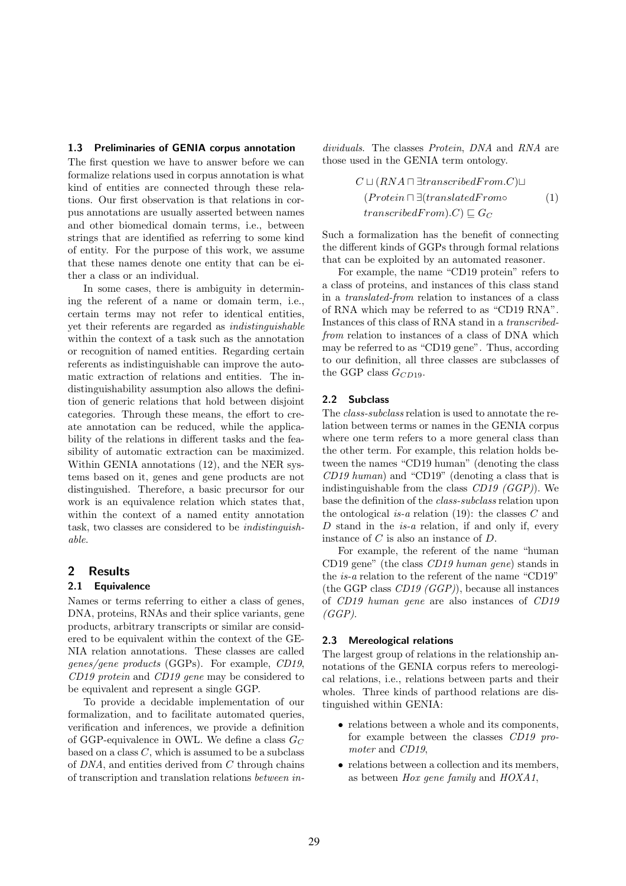## 1.3 Preliminaries of GENIA corpus annotation

The first question we have to answer before we can formalize relations used in corpus annotation is what kind of entities are connected through these relations. Our first observation is that relations in corpus annotations are usually asserted between names and other biomedical domain terms, i.e., between strings that are identified as referring to some kind of entity. For the purpose of this work, we assume that these names denote one entity that can be either a class or an individual.

In some cases, there is ambiguity in determining the referent of a name or domain term, i.e., certain terms may not refer to identical entities, yet their referents are regarded as indistinguishable within the context of a task such as the annotation or recognition of named entities. Regarding certain referents as indistinguishable can improve the automatic extraction of relations and entities. The indistinguishability assumption also allows the definition of generic relations that hold between disjoint categories. Through these means, the effort to create annotation can be reduced, while the applicability of the relations in different tasks and the feasibility of automatic extraction can be maximized. Within GENIA annotations (12), and the NER systems based on it, genes and gene products are not distinguished. Therefore, a basic precursor for our work is an equivalence relation which states that, within the context of a named entity annotation task, two classes are considered to be indistinguishable.

# 2 Results

#### 2.1 Equivalence

Names or terms referring to either a class of genes, DNA, proteins, RNAs and their splice variants, gene products, arbitrary transcripts or similar are considered to be equivalent within the context of the GE-NIA relation annotations. These classes are called genes/gene products (GGPs). For example, CD19, CD19 protein and CD19 gene may be considered to be equivalent and represent a single GGP.

To provide a decidable implementation of our formalization, and to facilitate automated queries, verification and inferences, we provide a definition of GGP-equivalence in OWL. We define a class  $G_C$ based on a class  $C$ , which is assumed to be a subclass of DNA, and entities derived from C through chains of transcription and translation relations between in-

dividuals. The classes Protein, DNA and RNA are those used in the GENIA term ontology.

$$
C \sqcup (RNA \sqcap \exists transcribedFrom.C) \sqcup
$$
  
\n
$$
(Protein \sqcap \exists (translatedFrom \qquad (1)
$$
  
\n
$$
transcribedFrom).C) \sqsubseteq G_C
$$

Such a formalization has the benefit of connecting the different kinds of GGPs through formal relations that can be exploited by an automated reasoner.

For example, the name "CD19 protein" refers to a class of proteins, and instances of this class stand in a translated-from relation to instances of a class of RNA which may be referred to as "CD19 RNA". Instances of this class of RNA stand in a transcribedfrom relation to instances of a class of DNA which may be referred to as "CD19 gene". Thus, according to our definition, all three classes are subclasses of the GGP class  $G_{CD19}$ .

#### 2.2 Subclass

The class-subclass relation is used to annotate the relation between terms or names in the GENIA corpus where one term refers to a more general class than the other term. For example, this relation holds between the names "CD19 human" (denoting the class CD19 human) and "CD19" (denoting a class that is indistinguishable from the class  $CD19$  (GGP)). We base the definition of the class-subclass relation upon the ontological *is-a* relation  $(19)$ : the classes C and  $D$  stand in the *is-a* relation, if and only if, every instance of C is also an instance of D.

For example, the referent of the name "human CD19 gene" (the class CD19 human gene) stands in the is-a relation to the referent of the name "CD19" (the GGP class CD19 (GGP)), because all instances of CD19 human gene are also instances of CD19  $(GGP)$ .

## 2.3 Mereological relations

The largest group of relations in the relationship annotations of the GENIA corpus refers to mereological relations, i.e., relations between parts and their wholes. Three kinds of parthood relations are distinguished within GENIA:

- relations between a whole and its components, for example between the classes CD19 promoter and CD19,
- relations between a collection and its members, as between Hox gene family and HOXA1,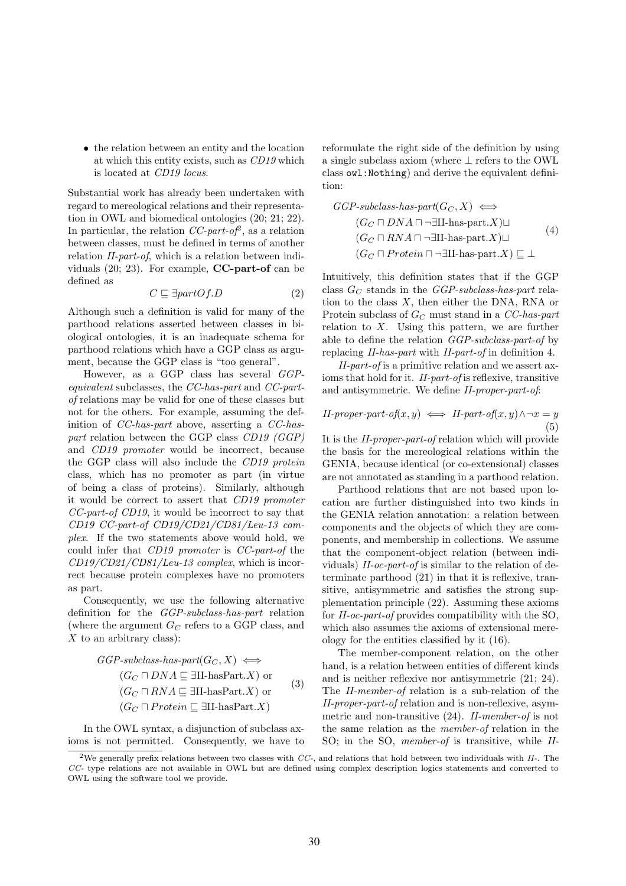• the relation between an entity and the location at which this entity exists, such as CD19 which is located at CD19 locus.

Substantial work has already been undertaken with regard to mereological relations and their representation in OWL and biomedical ontologies (20; 21; 22). In particular, the relation  $CC$ -part-of<sup>2</sup>, as a relation between classes, must be defined in terms of another relation II-part-of, which is a relation between individuals (20; 23). For example, CC-part-of can be defined as

$$
C \sqsubseteq \exists partOf.D
$$
 (2)

Although such a definition is valid for many of the parthood relations asserted between classes in biological ontologies, it is an inadequate schema for parthood relations which have a GGP class as argument, because the GGP class is "too general".

However, as a GGP class has several GGPequivalent subclasses, the CC-has-part and CC-partof relations may be valid for one of these classes but not for the others. For example, assuming the definition of CC-has-part above, asserting a CC-haspart relation between the GGP class CD19 (GGP) and CD19 promoter would be incorrect, because the GGP class will also include the CD19 protein class, which has no promoter as part (in virtue of being a class of proteins). Similarly, although it would be correct to assert that CD19 promoter CC-part-of CD19, it would be incorrect to say that CD19 CC-part-of CD19/CD21/CD81/Leu-13 complex. If the two statements above would hold, we could infer that CD19 promoter is CC-part-of the CD19/CD21/CD81/Leu-13 complex, which is incorrect because protein complexes have no promoters as part.

Consequently, we use the following alternative definition for the GGP-subclass-has-part relation (where the argument  $G_C$  refers to a GGP class, and  $X$  to an arbitrary class):

$$
GGP-subclass-has-part(G_C, X) \iff
$$
  
\n
$$
(G_C \sqcap DNA \sqsubseteq \exists \text{II-hasPart}.X) \text{ or }
$$
  
\n
$$
(G_C \sqcap RNA \sqsubseteq \exists \text{II-hasPart}.X) \text{ or }
$$
  
\n
$$
(G_C \sqcap Protein \sqsubseteq \exists \text{II-hasPart}.X)
$$
\n(3)

In the OWL syntax, a disjunction of subclass axioms is not permitted. Consequently, we have to reformulate the right side of the definition by using a single subclass axiom (where ⊥ refers to the OWL class owl:Nothing) and derive the equivalent definition:

$$
GGP-subclass-has-part(G_C, X) \iff
$$
  
\n
$$
(G_C \sqcap DNA \sqcap \neg \exists \text{II-has-part.} X) \sqcup
$$
  
\n
$$
(G_C \sqcap RNA \sqcap \neg \exists \text{II-has-part.} X) \sqcup
$$
  
\n
$$
(G_C \sqcap Protein \sqcap \neg \exists \text{II-has-part.} X) \sqsubseteq \bot
$$
\n
$$
(4)
$$

Intuitively, this definition states that if the GGP class  $G_C$  stands in the *GGP-subclass-has-part* relation to the class  $X$ , then either the DNA, RNA or Protein subclass of  $G_C$  must stand in a  $CC$ -has-part relation to  $X$ . Using this pattern, we are further able to define the relation GGP-subclass-part-of by replacing II-has-part with II-part-of in definition 4.

II-part-of is a primitive relation and we assert axioms that hold for it. II-part-of is reflexive, transitive and antisymmetric. We define II-proper-part-of:

$$
II\text{-}proper\text{-}part\text{-}of(x,y) \iff II\text{-}part\text{-}of(x,y) \land \neg x = y \tag{5}
$$

It is the II-proper-part-of relation which will provide the basis for the mereological relations within the GENIA, because identical (or co-extensional) classes are not annotated as standing in a parthood relation.

Parthood relations that are not based upon location are further distinguished into two kinds in the GENIA relation annotation: a relation between components and the objects of which they are components, and membership in collections. We assume that the component-object relation (between individuals) II-oc-part-of is similar to the relation of determinate parthood (21) in that it is reflexive, transitive, antisymmetric and satisfies the strong supplementation principle (22). Assuming these axioms for II-oc-part-of provides compatibility with the SO, which also assumes the axioms of extensional mereology for the entities classified by it (16).

The member-component relation, on the other hand, is a relation between entities of different kinds and is neither reflexive nor antisymmetric (21; 24). The *II-member-of* relation is a sub-relation of the II-proper-part-of relation and is non-reflexive, asymmetric and non-transitive (24). II-member-of is not the same relation as the member-of relation in the SO; in the SO, *member-of* is transitive, while II-

<sup>&</sup>lt;sup>2</sup>We generally prefix relations between two classes with  $CC$ -, and relations that hold between two individuals with  $II$ -. The CC- type relations are not available in OWL but are defined using complex description logics statements and converted to OWL using the software tool we provide.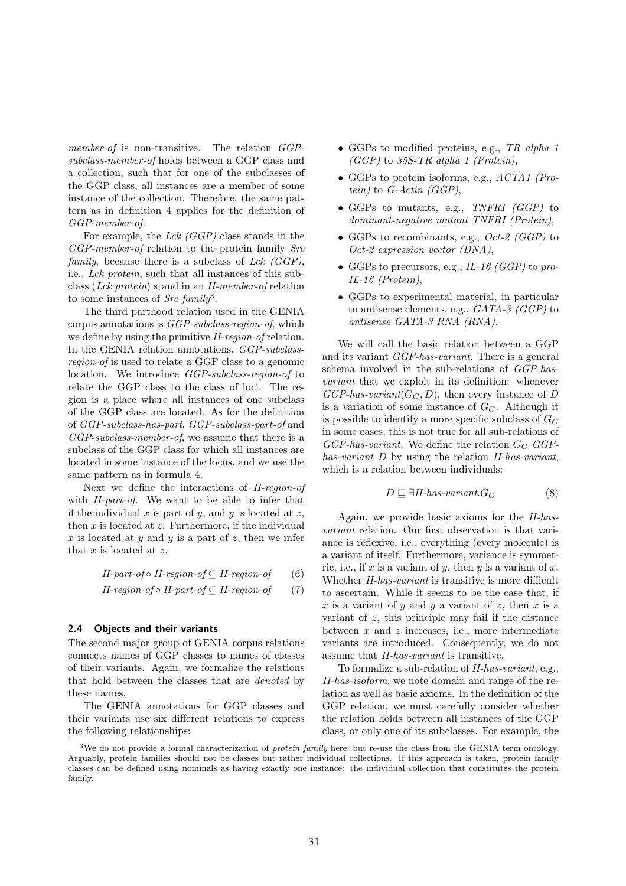member-of is non-transitive. The relation GGPsubclass-member-of holds between a GGP class and a collection, such that for one of the subclasses of the GGP class, all instances are a member of some instance of the collection. Therefore, the same pattern as in definition 4 applies for the definition of GGP-member-of.

For example, the Lck (GGP) class stands in the GGP-member-of relation to the protein family Src family, because there is a subclass of Lck  $(GGP)$ , i.e., Lck protein, such that all instances of this subclass (Lck protein) stand in an II-member-of relation to some instances of Src  $family^3$ .

The third parthood relation used in the GENIA corpus annotations is GGP-subclass-region-of, which we define by using the primitive *II-region-of* relation. In the GENIA relation annotations, GGP-subclassregion-of is used to relate a GGP class to a genomic location. We introduce GGP-subclass-region-of to relate the GGP class to the class of loci. The region is a place where all instances of one subclass of the GGP class are located. As for the definition of GGP-subclass-has-part, GGP-subclass-part-of and GGP-subclass-member-of, we assume that there is a subclass of the GGP class for which all instances are located in some instance of the locus, and we use the same pattern as in formula 4.

Next we define the interactions of II-region-of with *II-part-of.* We want to be able to infer that if the individual x is part of y, and y is located at z, then  $x$  is located at  $z$ . Furthermore, if the individual x is located at y and y is a part of z, then we infer that  $x$  is located at  $z$ .

$$
II-part\text{-}of \circ II\text{-}region\text{-}of \subseteq II\text{-}region\text{-}of \qquad (6)
$$

$$
II-region-of \circ II-part-of \subseteq II-region-of
$$
 (7)

#### 2.4 Objects and their variants

The second major group of GENIA corpus relations connects names of GGP classes to names of classes of their variants. Again, we formalize the relations that hold between the classes that are denoted by these names.

The GENIA annotations for GGP classes and their variants use six different relations to express the following relationships:

- GGPs to modified proteins, e.g., TR alpha 1  $(GGP)$  to 35S-TR alpha 1 (Protein),
- GGPs to protein isoforms, e.g.,  $ACTA1$  (Protein) to  $G$ -Actin  $(GGP)$ ,
- GGPs to mutants, e.g., TNFRI (GGP) to dominant-negative mutant TNFRI (Protein),
- GGPs to recombinants, e.g.,  $Oct-2$  (GGP) to Oct-2 expression vector (DNA),
- GGPs to precursors, e.g.,  $IL-16$  (GGP) to pro-IL-16 (Protein),
- GGPs to experimental material, in particular to antisense elements, e.g.,  $GATA-3$  ( $GGP$ ) to antisense GATA-3 RNA (RNA).

We will call the basic relation between a GGP and its variant GGP-has-variant. There is a general schema involved in the sub-relations of GGP-hasvariant that we exploit in its definition: whenever  $GGP\text{-}has\text{-}variant(G_C, D)$ , then every instance of D is a variation of some instance of  $G_C$ . Although it is possible to identify a more specific subclass of  $G_C$ in some cases, this is not true for all sub-relations of  $GGP$ -has-variant. We define the relation  $G_C$  GGPhas-variant D by using the relation II-has-variant, which is a relation between individuals:

$$
D \sqsubseteq \exists II\text{-}has\text{-}variant.G_C \tag{8}
$$

Again, we provide basic axioms for the II-hasvariant relation. Our first observation is that variance is reflexive, i.e., everything (every molecule) is a variant of itself. Furthermore, variance is symmetric, i.e., if  $x$  is a variant of  $y$ , then  $y$  is a variant of  $x$ . Whether II-has-variant is transitive is more difficult to ascertain. While it seems to be the case that, if x is a variant of y and y a variant of z, then x is a variant of  $z$ , this principle may fail if the distance between  $x$  and  $z$  increases, i.e., more intermediate variants are introduced. Consequently, we do not assume that II-has-variant is transitive.

To formalize a sub-relation of II-has-variant, e.g., II-has-isoform, we note domain and range of the relation as well as basic axioms. In the definition of the GGP relation, we must carefully consider whether the relation holds between all instances of the GGP class, or only one of its subclasses. For example, the

<sup>&</sup>lt;sup>3</sup>We do not provide a formal characterization of *protein family* here, but re-use the class from the GENIA term ontology. Arguably, protein families should not be classes but rather individual collections. If this approach is taken, protein family classes can be defined using nominals as having exactly one instance: the individual collection that constitutes the protein family.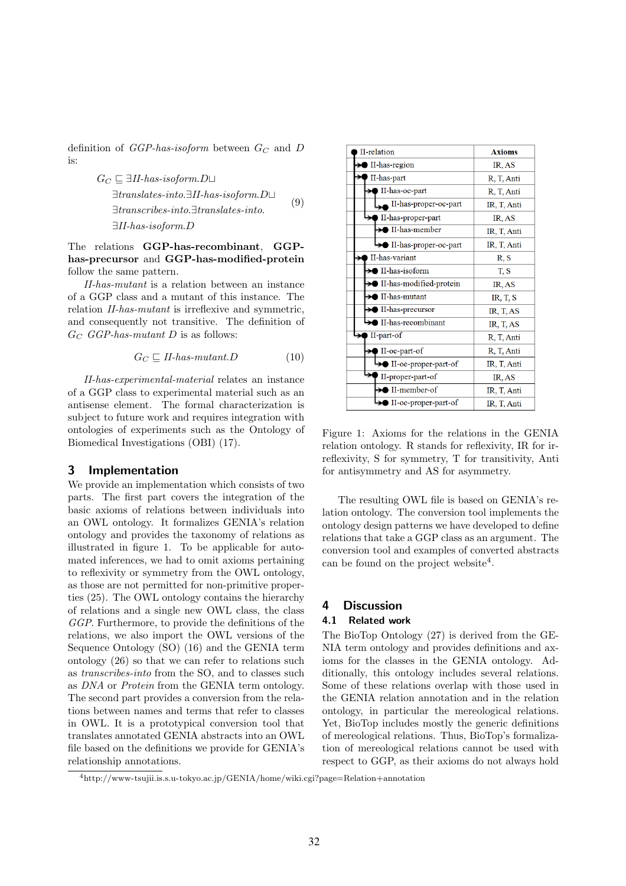definition of  $GGP$ -has-isoform between  $G_C$  and  $D$ is:

$$
G_C \sqsubseteq \exists II\text{-}has\text{-}isoform.D\sqcup
$$
  
\n
$$
\exists \text{translates-} into.\exists II\text{-}has\text{-}isoform.D\sqcup
$$
  
\n
$$
\exists \text{transcribes-} into.\exists \text{translates-} into.
$$
  
\n
$$
\exists II\text{-}has\text{-}isoform.D
$$
 (9)

The relations GGP-has-recombinant, GGPhas-precursor and GGP-has-modified-protein follow the same pattern.

II-has-mutant is a relation between an instance of a GGP class and a mutant of this instance. The relation II-has-mutant is irreflexive and symmetric, and consequently not transitive. The definition of  $G_C$  GGP-has-mutant D is as follows:

$$
G_C \sqsubseteq II\text{-}has-mutant.D \tag{10}
$$

II-has-experimental-material relates an instance of a GGP class to experimental material such as an antisense element. The formal characterization is subject to future work and requires integration with ontologies of experiments such as the Ontology of Biomedical Investigations (OBI) (17).

# 3 Implementation

We provide an implementation which consists of two parts. The first part covers the integration of the basic axioms of relations between individuals into an OWL ontology. It formalizes GENIA's relation ontology and provides the taxonomy of relations as illustrated in figure 1. To be applicable for automated inferences, we had to omit axioms pertaining to reflexivity or symmetry from the OWL ontology, as those are not permitted for non-primitive properties (25). The OWL ontology contains the hierarchy of relations and a single new OWL class, the class GGP. Furthermore, to provide the definitions of the relations, we also import the OWL versions of the Sequence Ontology (SO) (16) and the GENIA term ontology (26) so that we can refer to relations such as transcribes-into from the SO, and to classes such as DNA or Protein from the GENIA term ontology. The second part provides a conversion from the relations between names and terms that refer to classes in OWL. It is a prototypical conversion tool that translates annotated GENIA abstracts into an OWL file based on the definitions we provide for GENIA's relationship annotations.

| II-relation          |                                      | <b>Axioms</b> |
|----------------------|--------------------------------------|---------------|
| II-has-region        |                                      | IR, AS        |
| II-has-part          |                                      | R, T, Anti    |
|                      | II-has-oc-part                       | R, T, Anti    |
|                      | II-has-proper-oc-part                | IR, T, Anti   |
|                      | II-has-proper-part                   | IR, AS        |
|                      | II-has-member                        | IR, T, Anti   |
|                      | $\blacksquare$ II-has-proper-oc-part | IR, T, Anti   |
|                      | II-has-variant                       | R, S          |
|                      | II-has-isoform                       | T, S          |
|                      | II-has-modified-protein              | IR, AS        |
|                      | II-has-mutant                        | IR, $T, S$    |
|                      | → II-has-precursor                   | IR, T, AS     |
|                      | II-has-recombinant                   | IR, T, AS     |
|                      | II-part-of                           | R, T, Anti    |
|                      | II-oc-part-of                        | R, T, Anti    |
|                      | II-oc-proper-part-of                 | IR, T, Anti   |
|                      | II-proper-part-of                    | IR, AS        |
|                      | II-member-of                         | IR, T, Anti   |
| II-oc-proper-part-of |                                      | IR, T, Anti   |
|                      |                                      |               |

Figure 1: Axioms for the relations in the GENIA relation ontology. R stands for reflexivity, IR for irreflexivity, S for symmetry, T for transitivity, Anti for antisymmetry and AS for asymmetry.

The resulting OWL file is based on GENIA's relation ontology. The conversion tool implements the ontology design patterns we have developed to define relations that take a GGP class as an argument. The conversion tool and examples of converted abstracts can be found on the project website<sup>4</sup>.

# 4 Discussion

#### 4.1 Related work

The BioTop Ontology (27) is derived from the GE-NIA term ontology and provides definitions and axioms for the classes in the GENIA ontology. Additionally, this ontology includes several relations. Some of these relations overlap with those used in the GENIA relation annotation and in the relation ontology, in particular the mereological relations. Yet, BioTop includes mostly the generic definitions of mereological relations. Thus, BioTop's formalization of mereological relations cannot be used with respect to GGP, as their axioms do not always hold

<sup>4</sup>http://www-tsujii.is.s.u-tokyo.ac.jp/GENIA/home/wiki.cgi?page=Relation+annotation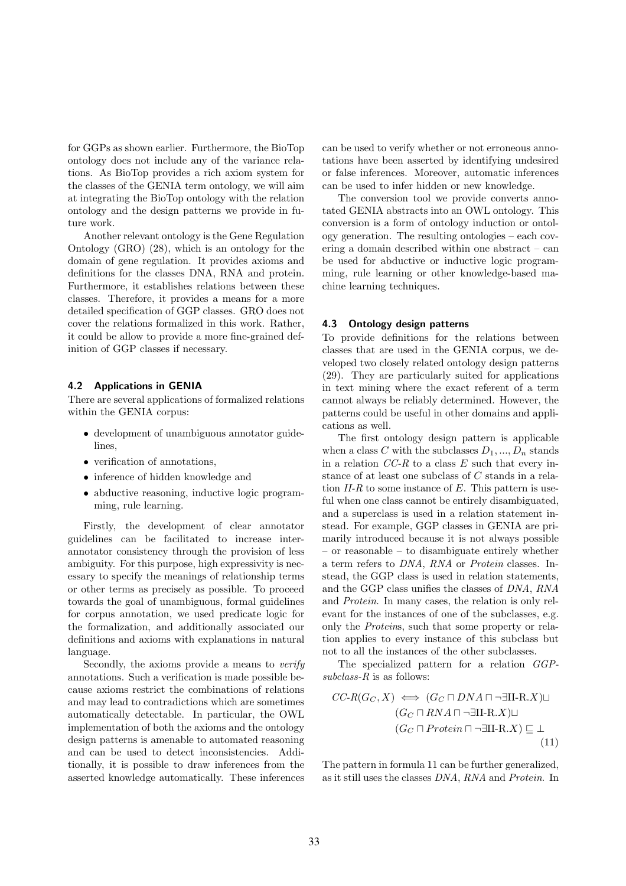for GGPs as shown earlier. Furthermore, the BioTop ontology does not include any of the variance relations. As BioTop provides a rich axiom system for the classes of the GENIA term ontology, we will aim at integrating the BioTop ontology with the relation ontology and the design patterns we provide in future work.

Another relevant ontology is the Gene Regulation Ontology (GRO) (28), which is an ontology for the domain of gene regulation. It provides axioms and definitions for the classes DNA, RNA and protein. Furthermore, it establishes relations between these classes. Therefore, it provides a means for a more detailed specification of GGP classes. GRO does not cover the relations formalized in this work. Rather, it could be allow to provide a more fine-grained definition of GGP classes if necessary.

#### 4.2 Applications in GENIA

There are several applications of formalized relations within the GENIA corpus:

- development of unambiguous annotator guidelines.
- verification of annotations.
- inference of hidden knowledge and
- abductive reasoning, inductive logic programming, rule learning.

Firstly, the development of clear annotator guidelines can be facilitated to increase interannotator consistency through the provision of less ambiguity. For this purpose, high expressivity is necessary to specify the meanings of relationship terms or other terms as precisely as possible. To proceed towards the goal of unambiguous, formal guidelines for corpus annotation, we used predicate logic for the formalization, and additionally associated our definitions and axioms with explanations in natural language.

Secondly, the axioms provide a means to verify annotations. Such a verification is made possible because axioms restrict the combinations of relations and may lead to contradictions which are sometimes automatically detectable. In particular, the OWL implementation of both the axioms and the ontology design patterns is amenable to automated reasoning and can be used to detect inconsistencies. Additionally, it is possible to draw inferences from the asserted knowledge automatically. These inferences can be used to verify whether or not erroneous annotations have been asserted by identifying undesired or false inferences. Moreover, automatic inferences can be used to infer hidden or new knowledge.

The conversion tool we provide converts annotated GENIA abstracts into an OWL ontology. This conversion is a form of ontology induction or ontology generation. The resulting ontologies – each covering a domain described within one abstract – can be used for abductive or inductive logic programming, rule learning or other knowledge-based machine learning techniques.

#### 4.3 Ontology design patterns

To provide definitions for the relations between classes that are used in the GENIA corpus, we developed two closely related ontology design patterns (29). They are particularly suited for applications in text mining where the exact referent of a term cannot always be reliably determined. However, the patterns could be useful in other domains and applications as well.

The first ontology design pattern is applicable when a class C with the subclasses  $D_1, ..., D_n$  stands in a relation  $CC-R$  to a class E such that every instance of at least one subclass of C stands in a relation  $II-R$  to some instance of E. This pattern is useful when one class cannot be entirely disambiguated, and a superclass is used in a relation statement instead. For example, GGP classes in GENIA are primarily introduced because it is not always possible – or reasonable – to disambiguate entirely whether a term refers to DNA, RNA or Protein classes. Instead, the GGP class is used in relation statements, and the GGP class unifies the classes of DNA, RNA and Protein. In many cases, the relation is only relevant for the instances of one of the subclasses, e.g. only the Proteins, such that some property or relation applies to every instance of this subclass but not to all the instances of the other subclasses.

The specialized pattern for a relation GGPsubclass-R is as follows:

$$
CC-R(G_C, X) \iff (G_C \sqcap DNA \sqcap \neg \exists \text{II-R}.X) \sqcup
$$
  

$$
(G_C \sqcap RNA \sqcap \neg \exists \text{II-R}.X) \sqcup
$$
  

$$
(G_C \sqcap Protein \sqcap \neg \exists \text{II-R}.X) \sqsubseteq \bot
$$
  
(11)

The pattern in formula 11 can be further generalized, as it still uses the classes DNA, RNA and Protein. In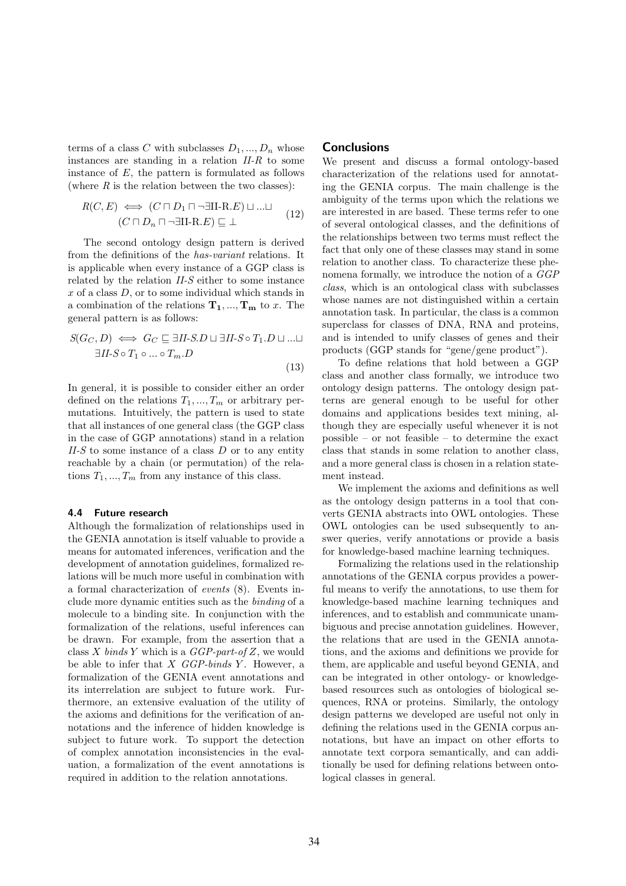terms of a class C with subclasses  $D_1, ..., D_n$  whose instances are standing in a relation  $II-R$  to some instance of  $E$ , the pattern is formulated as follows (where  $R$  is the relation between the two classes):

$$
R(C, E) \iff (C \sqcap D_1 \sqcap \neg \exists \text{II-R}.E) \sqcup ... \sqcup
$$
  

$$
(C \sqcap D_n \sqcap \neg \exists \text{II-R}.E) \sqsubseteq \bot
$$
 (12)

The second ontology design pattern is derived from the definitions of the has-variant relations. It is applicable when every instance of a GGP class is related by the relation II-S either to some instance  $x$  of a class  $D$ , or to some individual which stands in a combination of the relations  $T_1, ..., T_m$  to x. The general pattern is as follows:

$$
S(G_C, D) \iff G_C \sqsubseteq \exists II \text{-} S.D \sqcup \exists II \text{-} S \circ T_1.D \sqcup \dots \sqcup
$$
  

$$
\exists II \text{-} S \circ T_1 \circ \dots \circ T_m.D
$$
  
(13)

In general, it is possible to consider either an order defined on the relations  $T_1, ..., T_m$  or arbitrary permutations. Intuitively, the pattern is used to state that all instances of one general class (the GGP class in the case of GGP annotations) stand in a relation  $II-S$  to some instance of a class  $D$  or to any entity reachable by a chain (or permutation) of the relations  $T_1, ..., T_m$  from any instance of this class.

#### 4.4 Future research

Although the formalization of relationships used in the GENIA annotation is itself valuable to provide a means for automated inferences, verification and the development of annotation guidelines, formalized relations will be much more useful in combination with a formal characterization of events (8). Events include more dynamic entities such as the binding of a molecule to a binding site. In conjunction with the formalization of the relations, useful inferences can be drawn. For example, from the assertion that a class X binds Y which is a  $GGP-part-ofZ$ , we would be able to infer that  $X$  GGP-binds  $Y$ . However, a formalization of the GENIA event annotations and its interrelation are subject to future work. Furthermore, an extensive evaluation of the utility of the axioms and definitions for the verification of annotations and the inference of hidden knowledge is subject to future work. To support the detection of complex annotation inconsistencies in the evaluation, a formalization of the event annotations is required in addition to the relation annotations.

#### **Conclusions**

We present and discuss a formal ontology-based characterization of the relations used for annotating the GENIA corpus. The main challenge is the ambiguity of the terms upon which the relations we are interested in are based. These terms refer to one of several ontological classes, and the definitions of the relationships between two terms must reflect the fact that only one of these classes may stand in some relation to another class. To characterize these phenomena formally, we introduce the notion of a GGP class, which is an ontological class with subclasses whose names are not distinguished within a certain annotation task. In particular, the class is a common superclass for classes of DNA, RNA and proteins, and is intended to unify classes of genes and their products (GGP stands for "gene/gene product").

To define relations that hold between a GGP class and another class formally, we introduce two ontology design patterns. The ontology design patterns are general enough to be useful for other domains and applications besides text mining, although they are especially useful whenever it is not possible – or not feasible – to determine the exact class that stands in some relation to another class, and a more general class is chosen in a relation statement instead.

We implement the axioms and definitions as well as the ontology design patterns in a tool that converts GENIA abstracts into OWL ontologies. These OWL ontologies can be used subsequently to answer queries, verify annotations or provide a basis for knowledge-based machine learning techniques.

Formalizing the relations used in the relationship annotations of the GENIA corpus provides a powerful means to verify the annotations, to use them for knowledge-based machine learning techniques and inferences, and to establish and communicate unambiguous and precise annotation guidelines. However, the relations that are used in the GENIA annotations, and the axioms and definitions we provide for them, are applicable and useful beyond GENIA, and can be integrated in other ontology- or knowledgebased resources such as ontologies of biological sequences, RNA or proteins. Similarly, the ontology design patterns we developed are useful not only in defining the relations used in the GENIA corpus annotations, but have an impact on other efforts to annotate text corpora semantically, and can additionally be used for defining relations between ontological classes in general.